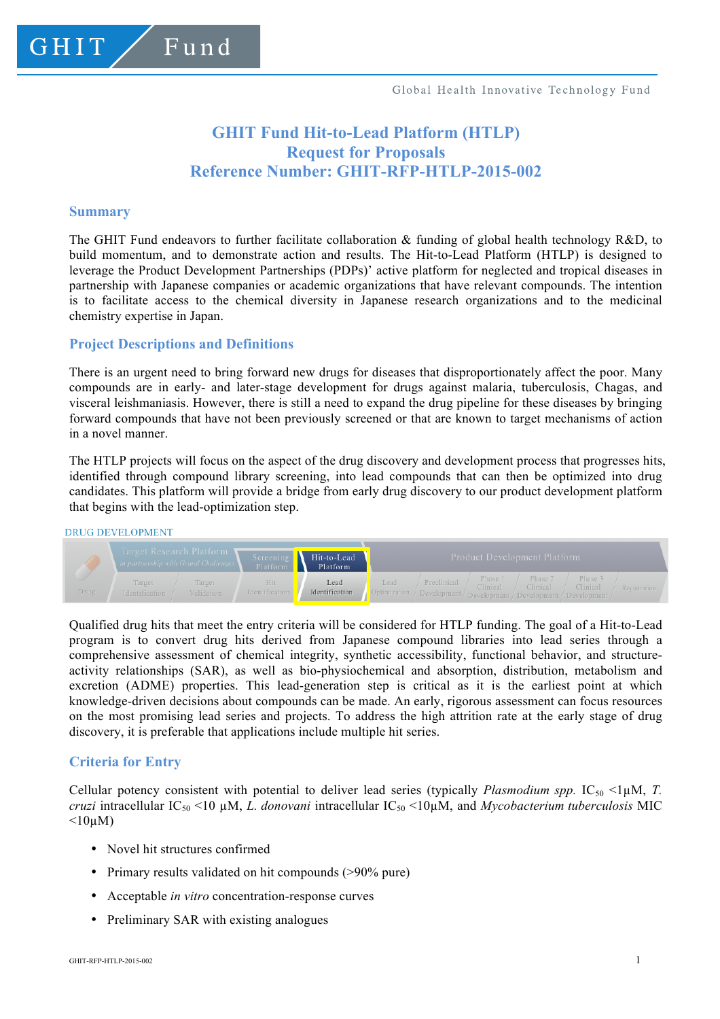# **GHIT Fund Hit-to-Lead Platform (HTLP) Request for Proposals Reference Number: GHIT-RFP-HTLP-2015-002**

#### **Summary**

GHIT

The GHIT Fund endeavors to further facilitate collaboration  $\&$  funding of global health technology R&D, to build momentum, and to demonstrate action and results. The Hit-to-Lead Platform (HTLP) is designed to leverage the Product Development Partnerships (PDPs)' active platform for neglected and tropical diseases in partnership with Japanese companies or academic organizations that have relevant compounds. The intention is to facilitate access to the chemical diversity in Japanese research organizations and to the medicinal chemistry expertise in Japan.

## **Project Descriptions and Definitions**

Fund

There is an urgent need to bring forward new drugs for diseases that disproportionately affect the poor. Many compounds are in early- and later-stage development for drugs against malaria, tuberculosis, Chagas, and visceral leishmaniasis. However, there is still a need to expand the drug pipeline for these diseases by bringing forward compounds that have not been previously screened or that are known to target mechanisms of action in a novel manner.

The HTLP projects will focus on the aspect of the drug discovery and development process that progresses hits, identified through compound library screening, into lead compounds that can then be optimized into drug candidates. This platform will provide a bridge from early drug discovery to our product development platform that begins with the lead-optimization step.

#### **DRUG DEVELOPMENT**



Qualified drug hits that meet the entry criteria will be considered for HTLP funding. The goal of a Hit-to-Lead program is to convert drug hits derived from Japanese compound libraries into lead series through a comprehensive assessment of chemical integrity, synthetic accessibility, functional behavior, and structureactivity relationships (SAR), as well as bio-physiochemical and absorption, distribution, metabolism and excretion (ADME) properties. This lead-generation step is critical as it is the earliest point at which knowledge-driven decisions about compounds can be made. An early, rigorous assessment can focus resources on the most promising lead series and projects. To address the high attrition rate at the early stage of drug discovery, it is preferable that applications include multiple hit series.

## **Criteria for Entry**

Cellular potency consistent with potential to deliver lead series (typically *Plasmodium spp.*  $IC_{50}$  <1µM, *T. cruzi* intracellular IC50 <10 µM, *L. donovani* intracellular IC50 <10µM, and *Mycobacterium tuberculosis* MIC  $\leq 10$ uM)

- Novel hit structures confirmed
- Primary results validated on hit compounds (>90% pure)
- Acceptable *in vitro* concentration-response curves
- Preliminary SAR with existing analogues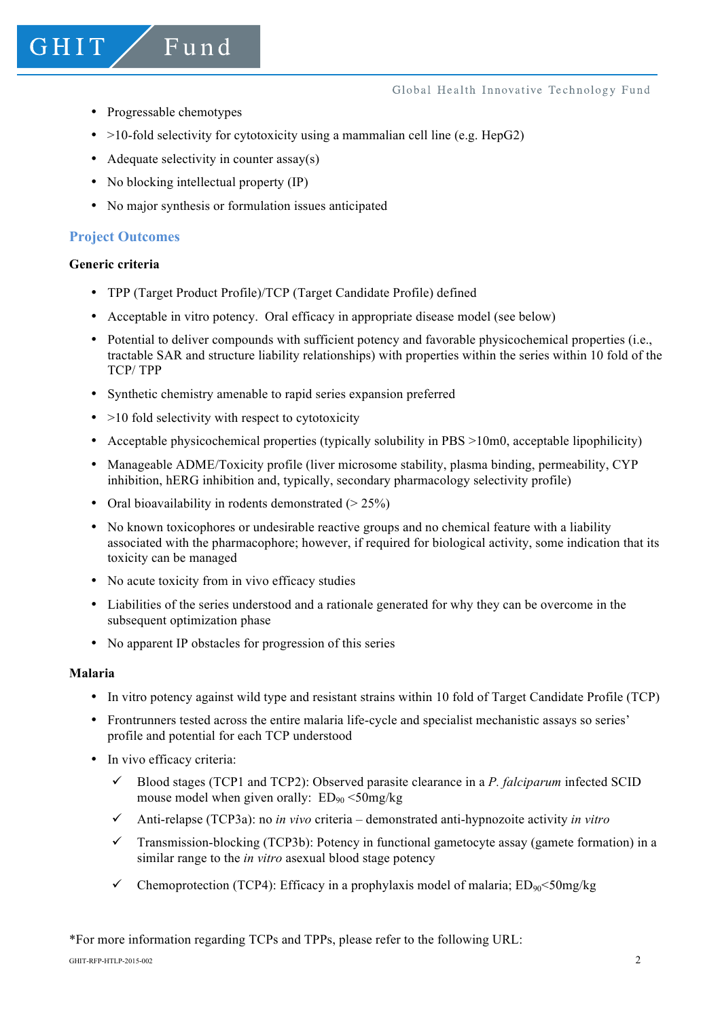- Progressable chemotypes
- $>10$ -fold selectivity for cytotoxicity using a mammalian cell line (e.g. HepG2)
- Adequate selectivity in counter assay(s)
- No blocking intellectual property (IP)

Fund

• No major synthesis or formulation issues anticipated

## **Project Outcomes**

#### **Generic criteria**

GHIT

- TPP (Target Product Profile)/TCP (Target Candidate Profile) defined
- Acceptable in vitro potency. Oral efficacy in appropriate disease model (see below)
- Potential to deliver compounds with sufficient potency and favorable physicochemical properties (i.e., tractable SAR and structure liability relationships) with properties within the series within 10 fold of the TCP/ TPP
- Synthetic chemistry amenable to rapid series expansion preferred
- $\bullet$  >10 fold selectivity with respect to cytotoxicity
- Acceptable physicochemical properties (typically solubility in PBS >10m0, acceptable lipophilicity)
- Manageable ADME/Toxicity profile (liver microsome stability, plasma binding, permeability, CYP inhibition, hERG inhibition and, typically, secondary pharmacology selectivity profile)
- Oral bioavailability in rodents demonstrated  $(> 25\%)$
- No known toxicophores or undesirable reactive groups and no chemical feature with a liability associated with the pharmacophore; however, if required for biological activity, some indication that its toxicity can be managed
- No acute toxicity from in vivo efficacy studies
- Liabilities of the series understood and a rationale generated for why they can be overcome in the subsequent optimization phase
- No apparent IP obstacles for progression of this series

#### **Malaria**

- In vitro potency against wild type and resistant strains within 10 fold of Target Candidate Profile (TCP)
- Frontrunners tested across the entire malaria life-cycle and specialist mechanistic assays so series' profile and potential for each TCP understood
- In vivo efficacy criteria:
	- $\checkmark$  Blood stages (TCP1 and TCP2): Observed parasite clearance in a *P. falciparum* infected SCID mouse model when given orally:  $ED_{90} < 50$ mg/kg
	- ü Anti-relapse (TCP3a): no *in vivo* criteria demonstrated anti-hypnozoite activity *in vitro*
	- $\checkmark$  Transmission-blocking (TCP3b): Potency in functional gametocyte assay (gamete formation) in a similar range to the *in vitro* asexual blood stage potency
	- Chemoprotection (TCP4): Efficacy in a prophylaxis model of malaria:  $ED_{90} \leq 50$ mg/kg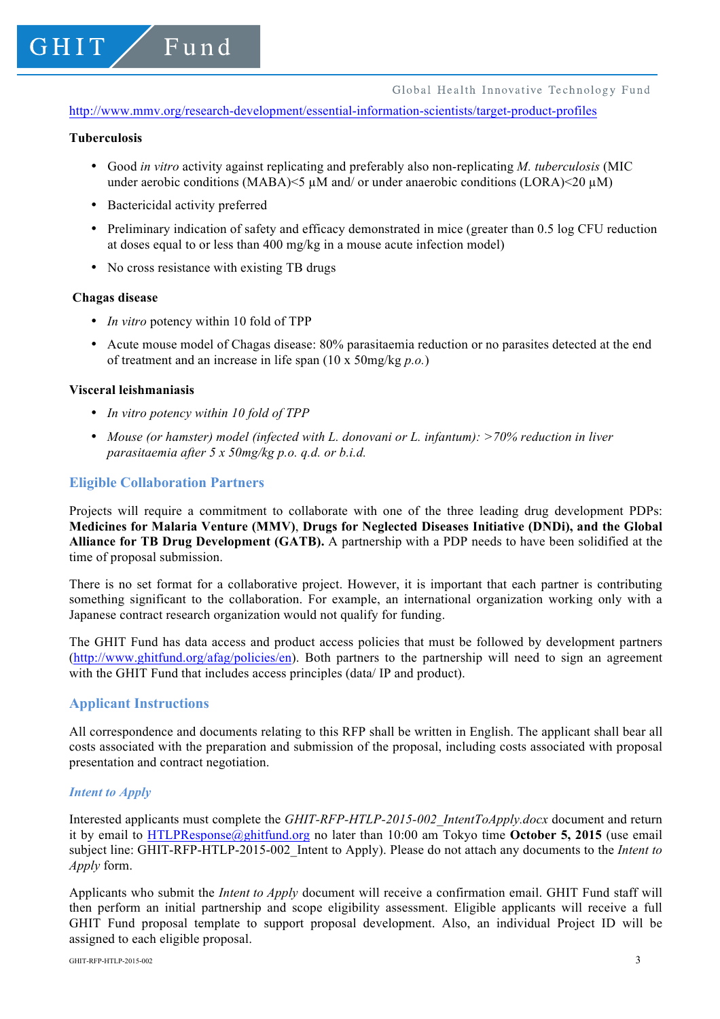http://www.mmv.org/research-development/essential-information-scientists/target-product-profiles

## **Tuberculosis**

GHIT

- Good *in vitro* activity against replicating and preferably also non-replicating *M. tuberculosis* (MIC under aerobic conditions (MABA) $\leq$   $\mu$ M and/ or under anaerobic conditions (LORA) $\leq$ 20  $\mu$ M)
- Bactericidal activity preferred

Fund

- Preliminary indication of safety and efficacy demonstrated in mice (greater than 0.5 log CFU reduction at doses equal to or less than 400 mg/kg in a mouse acute infection model)
- No cross resistance with existing TB drugs

#### **Chagas disease**

- *In vitro* potency within 10 fold of TPP
- Acute mouse model of Chagas disease: 80% parasitaemia reduction or no parasites detected at the end of treatment and an increase in life span (10 x 50mg/kg *p.o.*)

#### **Visceral leishmaniasis**

- *In vitro potency within 10 fold of TPP*
- *Mouse (or hamster) model (infected with L. donovani or L. infantum): >70% reduction in liver parasitaemia after 5 x 50mg/kg p.o. q.d. or b.i.d.*

#### **Eligible Collaboration Partners**

Projects will require a commitment to collaborate with one of the three leading drug development PDPs: **Medicines for Malaria Venture (MMV)**, **Drugs for Neglected Diseases Initiative (DNDi), and the Global Alliance for TB Drug Development (GATB).** A partnership with a PDP needs to have been solidified at the time of proposal submission.

There is no set format for a collaborative project. However, it is important that each partner is contributing something significant to the collaboration. For example, an international organization working only with a Japanese contract research organization would not qualify for funding.

The GHIT Fund has data access and product access policies that must be followed by development partners (http://www.ghitfund.org/afag/policies/en). Both partners to the partnership will need to sign an agreement with the GHIT Fund that includes access principles (data/ IP and product).

#### **Applicant Instructions**

All correspondence and documents relating to this RFP shall be written in English. The applicant shall bear all costs associated with the preparation and submission of the proposal, including costs associated with proposal presentation and contract negotiation.

### *Intent to Apply*

Interested applicants must complete the *GHIT-RFP-HTLP-2015-002\_IntentToApply.docx* document and return it by email to HTLPResponse@ghitfund.org no later than 10:00 am Tokyo time **October 5, 2015** (use email subject line: GHIT-RFP-HTLP-2015-002\_Intent to Apply). Please do not attach any documents to the *Intent to Apply* form.

Applicants who submit the *Intent to Apply* document will receive a confirmation email. GHIT Fund staff will then perform an initial partnership and scope eligibility assessment. Eligible applicants will receive a full GHIT Fund proposal template to support proposal development. Also, an individual Project ID will be assigned to each eligible proposal.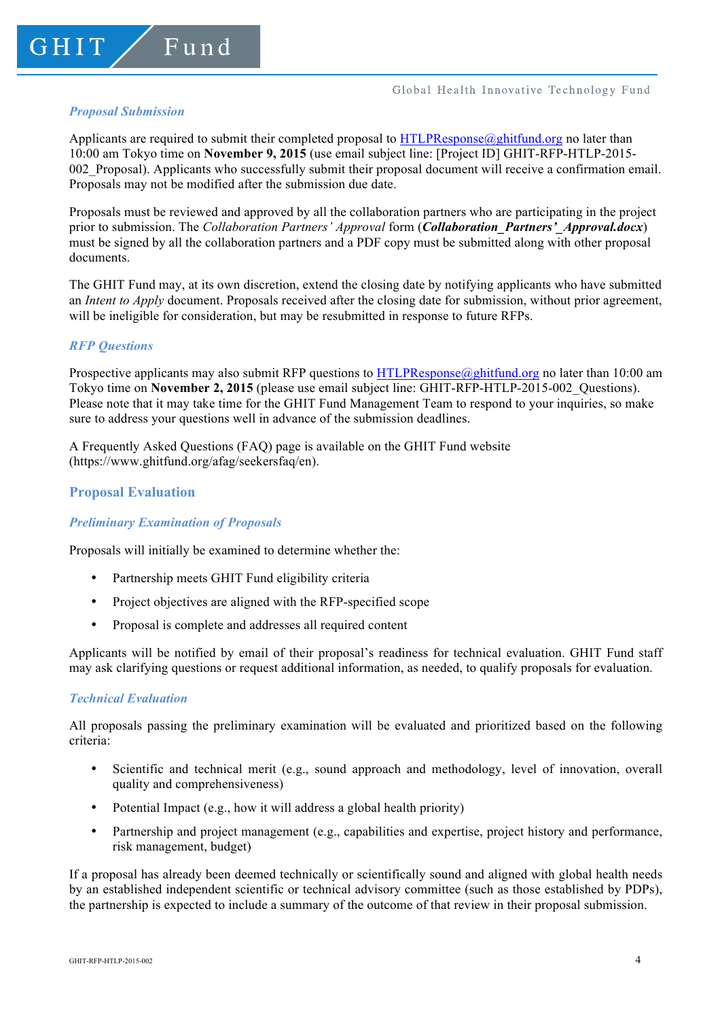#### Global Health Innovative Technology Fund

## *Proposal Submission*

Applicants are required to submit their completed proposal to  $HTLPResponse@ghittund.org$  no later than 10:00 am Tokyo time on **November 9, 2015** (use email subject line: [Project ID] GHIT-RFP-HTLP-2015- 002\_Proposal). Applicants who successfully submit their proposal document will receive a confirmation email. Proposals may not be modified after the submission due date.

Proposals must be reviewed and approved by all the collaboration partners who are participating in the project prior to submission. The *Collaboration Partners' Approval* form (*Collaboration\_Partners'\_Approval.docx*) must be signed by all the collaboration partners and a PDF copy must be submitted along with other proposal documents.

The GHIT Fund may, at its own discretion, extend the closing date by notifying applicants who have submitted an *Intent to Apply* document. Proposals received after the closing date for submission, without prior agreement, will be ineligible for consideration, but may be resubmitted in response to future RFPs.

## *RFP Questions*

Prospective applicants may also submit RFP questions to HTLPResponse $\omega$ ghitfund.org no later than 10:00 am Tokyo time on **November 2, 2015** (please use email subject line: GHIT-RFP-HTLP-2015-002\_Questions). Please note that it may take time for the GHIT Fund Management Team to respond to your inquiries, so make sure to address your questions well in advance of the submission deadlines.

A Frequently Asked Questions (FAQ) page is available on the GHIT Fund website (https://www.ghitfund.org/afag/seekersfaq/en).

# **Proposal Evaluation**

## *Preliminary Examination of Proposals*

Proposals will initially be examined to determine whether the:

- Partnership meets GHIT Fund eligibility criteria
- Project objectives are aligned with the RFP-specified scope
- Proposal is complete and addresses all required content

Applicants will be notified by email of their proposal's readiness for technical evaluation. GHIT Fund staff may ask clarifying questions or request additional information, as needed, to qualify proposals for evaluation.

## *Technical Evaluation*

All proposals passing the preliminary examination will be evaluated and prioritized based on the following criteria:

- Scientific and technical merit (e.g., sound approach and methodology, level of innovation, overall quality and comprehensiveness)
- Potential Impact (e.g., how it will address a global health priority)
- Partnership and project management (e.g., capabilities and expertise, project history and performance, risk management, budget)

If a proposal has already been deemed technically or scientifically sound and aligned with global health needs by an established independent scientific or technical advisory committee (such as those established by PDPs), the partnership is expected to include a summary of the outcome of that review in their proposal submission.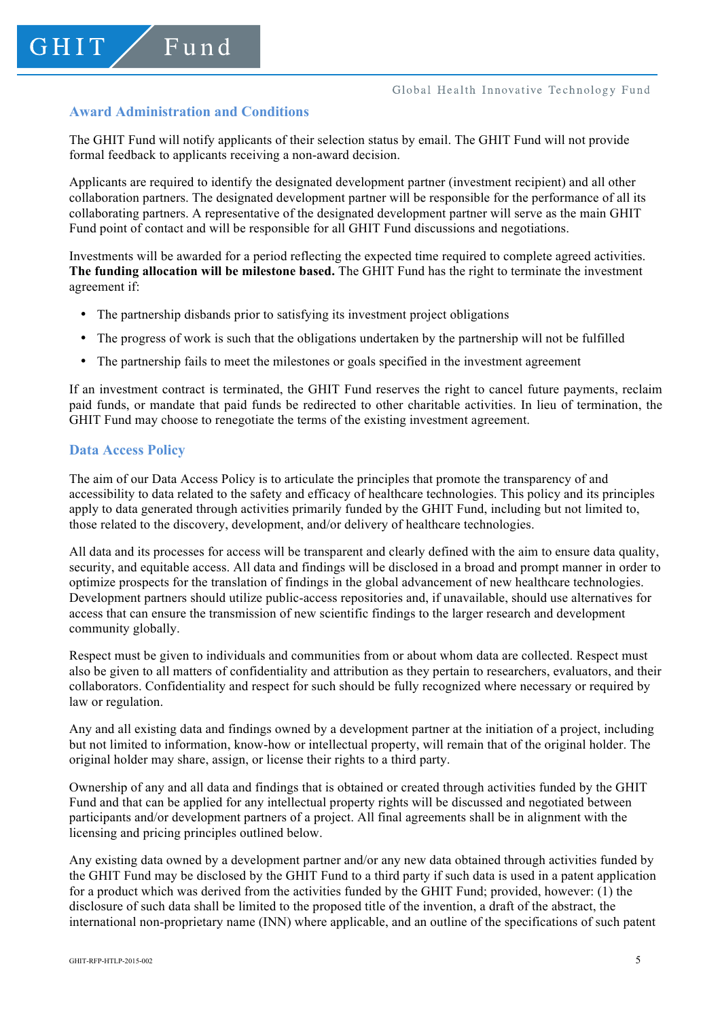# **Award Administration and Conditions**

The GHIT Fund will notify applicants of their selection status by email. The GHIT Fund will not provide formal feedback to applicants receiving a non-award decision.

Applicants are required to identify the designated development partner (investment recipient) and all other collaboration partners. The designated development partner will be responsible for the performance of all its collaborating partners. A representative of the designated development partner will serve as the main GHIT Fund point of contact and will be responsible for all GHIT Fund discussions and negotiations.

Investments will be awarded for a period reflecting the expected time required to complete agreed activities. **The funding allocation will be milestone based.** The GHIT Fund has the right to terminate the investment agreement if:

- The partnership disbands prior to satisfying its investment project obligations
- The progress of work is such that the obligations undertaken by the partnership will not be fulfilled
- The partnership fails to meet the milestones or goals specified in the investment agreement

If an investment contract is terminated, the GHIT Fund reserves the right to cancel future payments, reclaim paid funds, or mandate that paid funds be redirected to other charitable activities. In lieu of termination, the GHIT Fund may choose to renegotiate the terms of the existing investment agreement.

## **Data Access Policy**

The aim of our Data Access Policy is to articulate the principles that promote the transparency of and accessibility to data related to the safety and efficacy of healthcare technologies. This policy and its principles apply to data generated through activities primarily funded by the GHIT Fund, including but not limited to, those related to the discovery, development, and/or delivery of healthcare technologies.

All data and its processes for access will be transparent and clearly defined with the aim to ensure data quality, security, and equitable access. All data and findings will be disclosed in a broad and prompt manner in order to optimize prospects for the translation of findings in the global advancement of new healthcare technologies. Development partners should utilize public-access repositories and, if unavailable, should use alternatives for access that can ensure the transmission of new scientific findings to the larger research and development community globally.

Respect must be given to individuals and communities from or about whom data are collected. Respect must also be given to all matters of confidentiality and attribution as they pertain to researchers, evaluators, and their collaborators. Confidentiality and respect for such should be fully recognized where necessary or required by law or regulation.

Any and all existing data and findings owned by a development partner at the initiation of a project, including but not limited to information, know-how or intellectual property, will remain that of the original holder. The original holder may share, assign, or license their rights to a third party.

Ownership of any and all data and findings that is obtained or created through activities funded by the GHIT Fund and that can be applied for any intellectual property rights will be discussed and negotiated between participants and/or development partners of a project. All final agreements shall be in alignment with the licensing and pricing principles outlined below.

Any existing data owned by a development partner and/or any new data obtained through activities funded by the GHIT Fund may be disclosed by the GHIT Fund to a third party if such data is used in a patent application for a product which was derived from the activities funded by the GHIT Fund; provided, however: (1) the disclosure of such data shall be limited to the proposed title of the invention, a draft of the abstract, the international non-proprietary name (INN) where applicable, and an outline of the specifications of such patent